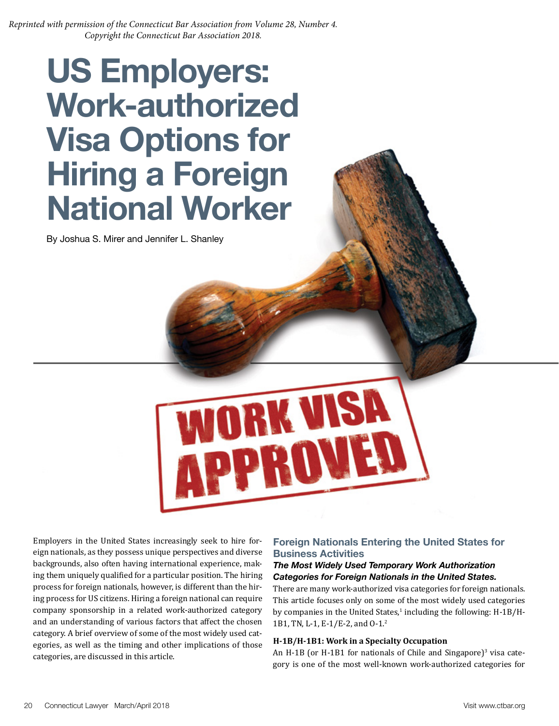*Reprinted with permission of the Connecticut Bar Association from Volume 28, Number 4. Copyright the Connecticut Bar Association 2018.*

# **US Employers: Work-authorized Visa Options for Hiring a Foreign National Worker**

By Joshua S. Mirer and Jennifer L. Shanley



Employers in the United States increasingly seek to hire foreign nationals, as they possess unique perspectives and diverse backgrounds, also often having international experience, making them uniquely qualified for a particular position. The hiring process for foreign nationals, however, is different than the hiring process for US citizens. Hiring a foreign national can require company sponsorship in a related work-authorized category and an understanding of various factors that affect the chosen category. A brief overview of some of the most widely used categories, as well as the timing and other implications of those categories, are discussed in this article.

# **Foreign Nationals Entering the United States for Business Activities**

#### *The Most Widely Used Temporary Work Authorization Categories for Foreign Nationals in the United States.*

There are many work-authorized visa categories for foreign nationals. This article focuses only on some of the most widely used categories by companies in the United States, $^1$  including the following: H-1B/H-1B1, TN, L-1, E-1/E-2, and O-1.2

#### **H-1B/H-1B1: Work in a Specialty Occupation**

An H-1B (or H-1B1 for nationals of Chile and Singapore)<sup>3</sup> visa category is one of the most well-known work-authorized categories for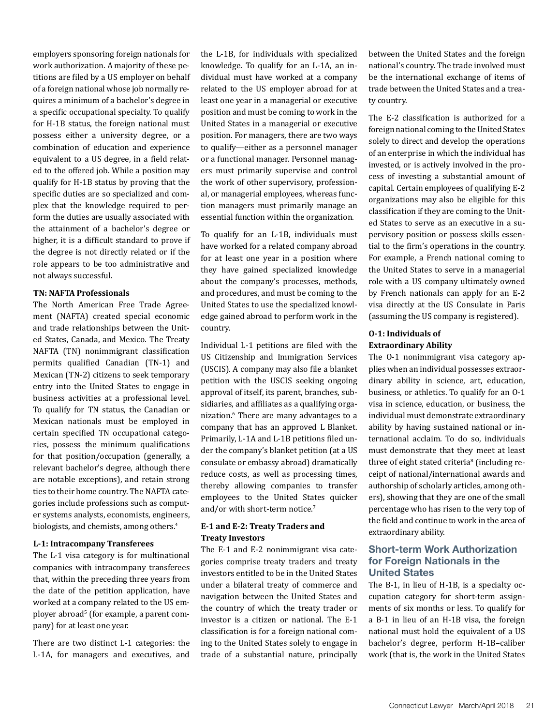employers sponsoring foreign nationals for work authorization. A majority of these petitions are filed by a US employer on behalf of a foreign national whose job normally requires a minimum of a bachelor's degree in a specific occupational specialty. To qualify for H-1B status, the foreign national must possess either a university degree, or a combination of education and experience equivalent to a US degree, in a field related to the offered job. While a position may qualify for H-1B status by proving that the specific duties are so specialized and complex that the knowledge required to perform the duties are usually associated with the attainment of a bachelor's degree or higher, it is a difficult standard to prove if the degree is not directly related or if the role appears to be too administrative and not always successful.

#### **TN: NAFTA Professionals**

The North American Free Trade Agreement (NAFTA) created special economic and trade relationships between the United States, Canada, and Mexico. The Treaty NAFTA (TN) nonimmigrant classification permits qualified Canadian (TN-1) and Mexican (TN-2) citizens to seek temporary entry into the United States to engage in business activities at a professional level. To qualify for TN status, the Canadian or Mexican nationals must be employed in certain specified TN occupational categories, possess the minimum qualifications for that position/occupation (generally, a relevant bachelor's degree, although there are notable exceptions), and retain strong ties to their home country. The NAFTA categories include professions such as computer systems analysts, economists, engineers, biologists, and chemists, among others.<sup>4</sup>

#### **L-1: Intracompany Transferees**

The L-1 visa category is for multinational companies with intracompany transferees that, within the preceding three years from the date of the petition application, have worked at a company related to the US employer abroad<sup>5</sup> (for example, a parent company) for at least one year.

There are two distinct L-1 categories: the L-1A, for managers and executives, and

the L-1B, for individuals with specialized knowledge. To qualify for an L-1A, an individual must have worked at a company related to the US employer abroad for at least one year in a managerial or executive position and must be coming to work in the United States in a managerial or executive position. For managers, there are two ways to qualify—either as a personnel manager or a functional manager. Personnel managers must primarily supervise and control the work of other supervisory, professional, or managerial employees, whereas function managers must primarily manage an essential function within the organization.

To qualify for an L-1B, individuals must have worked for a related company abroad for at least one year in a position where they have gained specialized knowledge about the company's processes, methods, and procedures, and must be coming to the United States to use the specialized knowledge gained abroad to perform work in the country.

Individual L-1 petitions are filed with the US Citizenship and Immigration Services (USCIS). A company may also file a blanket petition with the USCIS seeking ongoing approval of itself, its parent, branches, subsidiaries, and affiliates as a qualifying organization.6 There are many advantages to a company that has an approved L Blanket. Primarily, L-1A and L-1B petitions filed under the company's blanket petition (at a US consulate or embassy abroad) dramatically reduce costs, as well as processing times, thereby allowing companies to transfer employees to the United States quicker and/or with short-term notice.7

#### **E-1 and E-2: Treaty Traders and Treaty Investors**

The E-1 and E-2 nonimmigrant visa categories comprise treaty traders and treaty investors entitled to be in the United States under a bilateral treaty of commerce and navigation between the United States and the country of which the treaty trader or investor is a citizen or national. The E-1 classification is for a foreign national coming to the United States solely to engage in trade of a substantial nature, principally between the United States and the foreign national's country. The trade involved must be the international exchange of items of trade between the United States and a treaty country.

The E-2 classification is authorized for a foreign national coming to the United States solely to direct and develop the operations of an enterprise in which the individual has invested, or is actively involved in the process of investing a substantial amount of capital. Certain employees of qualifying E-2 organizations may also be eligible for this classification if they are coming to the United States to serve as an executive in a supervisory position or possess skills essential to the firm's operations in the country. For example, a French national coming to the United States to serve in a managerial role with a US company ultimately owned by French nationals can apply for an E-2 visa directly at the US Consulate in Paris (assuming the US company is registered).

#### **O-1: Individuals of Extraordinary Ability**

The O-1 nonimmigrant visa category applies when an individual possesses extraordinary ability in science, art, education, business, or athletics. To qualify for an O-1 visa in science, education, or business, the individual must demonstrate extraordinary ability by having sustained national or international acclaim. To do so, individuals must demonstrate that they meet at least three of eight stated criteria<sup>8</sup> (including receipt of national/international awards and authorship of scholarly articles, among others), showing that they are one of the small percentage who has risen to the very top of the field and continue to work in the area of extraordinary ability.

## **Short-term Work Authorization for Foreign Nationals in the United States**

The B-1, in lieu of H-1B, is a specialty occupation category for short-term assignments of six months or less. To qualify for a B-1 in lieu of an H-1B visa, the foreign national must hold the equivalent of a US bachelor's degree, perform H-1B–caliber work (that is, the work in the United States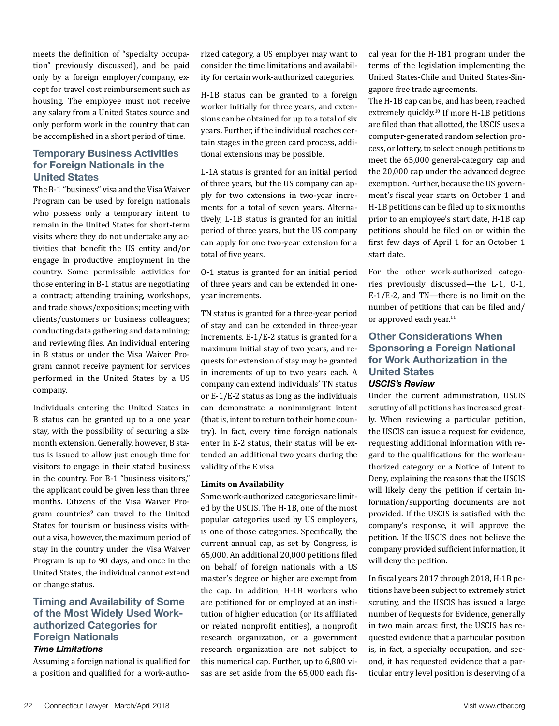meets the definition of "specialty occupation" previously discussed), and be paid only by a foreign employer/company, except for travel cost reimbursement such as housing. The employee must not receive any salary from a United States source and only perform work in the country that can be accomplished in a short period of time.

## **Temporary Business Activities for Foreign Nationals in the United States**

The B-1 "business" visa and the Visa Waiver Program can be used by foreign nationals who possess only a temporary intent to remain in the United States for short-term visits where they do not undertake any activities that benefit the US entity and/or engage in productive employment in the country. Some permissible activities for those entering in B-1 status are negotiating a contract; attending training, workshops, and trade shows/expositions; meeting with clients/customers or business colleagues; conducting data gathering and data mining; and reviewing files. An individual entering in B status or under the Visa Waiver Program cannot receive payment for services performed in the United States by a US company.

Individuals entering the United States in B status can be granted up to a one year stay, with the possibility of securing a sixmonth extension. Generally, however, B status is issued to allow just enough time for visitors to engage in their stated business in the country. For B-1 "business visitors," the applicant could be given less than three months. Citizens of the Visa Waiver Program countries<sup>9</sup> can travel to the United States for tourism or business visits without a visa, however, the maximum period of stay in the country under the Visa Waiver Program is up to 90 days, and once in the United States, the individual cannot extend or change status.

# **Timing and Availability of Some of the Most Widely Used Workauthorized Categories for Foreign Nationals**

#### *Time Limitations*

Assuming a foreign national is qualified for a position and qualified for a work-authorized category, a US employer may want to consider the time limitations and availability for certain work-authorized categories.

H-1B status can be granted to a foreign worker initially for three years, and extensions can be obtained for up to a total of six years. Further, if the individual reaches certain stages in the green card process, additional extensions may be possible.

L-1A status is granted for an initial period of three years, but the US company can apply for two extensions in two-year increments for a total of seven years. Alternatively, L-1B status is granted for an initial period of three years, but the US company can apply for one two-year extension for a total of five years.

O-1 status is granted for an initial period of three years and can be extended in oneyear increments.

TN status is granted for a three-year period of stay and can be extended in three-year increments. E-1/E-2 status is granted for a maximum initial stay of two years, and requests for extension of stay may be granted in increments of up to two years each. A company can extend individuals' TN status or E-1/E-2 status as long as the individuals can demonstrate a nonimmigrant intent (that is, intent to return to their home country). In fact, every time foreign nationals enter in E-2 status, their status will be extended an additional two years during the validity of the E visa.

#### **Limits on Availability**

Some work-authorized categories are limited by the USCIS. The H-1B, one of the most popular categories used by US employers, is one of those categories. Specifically, the current annual cap, as set by Congress, is 65,000. An additional 20,000 petitions filed on behalf of foreign nationals with a US master's degree or higher are exempt from the cap. In addition, H-1B workers who are petitioned for or employed at an institution of higher education (or its affiliated or related nonprofit entities), a nonprofit research organization, or a government research organization are not subject to this numerical cap. Further, up to 6,800 visas are set aside from the 65,000 each fiscal year for the H-1B1 program under the terms of the legislation implementing the United States-Chile and United States-Singapore free trade agreements.

The H-1B cap can be, and has been, reached extremely quickly.<sup>10</sup> If more H-1B petitions are filed than that allotted, the USCIS uses a computer-generated random selection process, or lottery, to select enough petitions to meet the 65,000 general-category cap and the 20,000 cap under the advanced degree exemption. Further, because the US government's fiscal year starts on October 1 and H-1B petitions can be filed up to six months prior to an employee's start date, H-1B cap petitions should be filed on or within the first few days of April 1 for an October 1 start date.

For the other work-authorized categories previously discussed—the L-1, O-1, E-1/E-2, and TN—there is no limit on the number of petitions that can be filed and/ or approved each year.<sup>11</sup>

# **Other Considerations When Sponsoring a Foreign National for Work Authorization in the United States**

# *USCIS's Review*

Under the current administration, USCIS scrutiny of all petitions has increased greatly. When reviewing a particular petition, the USCIS can issue a request for evidence, requesting additional information with regard to the qualifications for the work-authorized category or a Notice of Intent to Deny, explaining the reasons that the USCIS will likely deny the petition if certain information/supporting documents are not provided. If the USCIS is satisfied with the company's response, it will approve the petition. If the USCIS does not believe the company provided sufficient information, it will deny the petition.

In fiscal years 2017 through 2018, H-1B petitions have been subject to extremely strict scrutiny, and the USCIS has issued a large number of Requests for Evidence, generally in two main areas: first, the USCIS has requested evidence that a particular position is, in fact, a specialty occupation, and second, it has requested evidence that a particular entry level position is deserving of a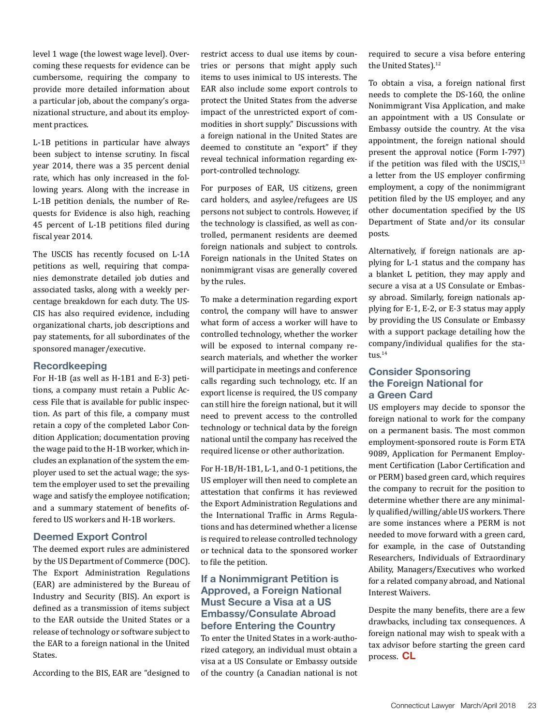level 1 wage (the lowest wage level). Overcoming these requests for evidence can be cumbersome, requiring the company to provide more detailed information about a particular job, about the company's organizational structure, and about its employment practices.

L-1B petitions in particular have always been subject to intense scrutiny. In fiscal year 2014, there was a 35 percent denial rate, which has only increased in the following years. Along with the increase in L-1B petition denials, the number of Requests for Evidence is also high, reaching 45 percent of L-1B petitions filed during fiscal year 2014.

The USCIS has recently focused on L-1A petitions as well, requiring that companies demonstrate detailed job duties and associated tasks, along with a weekly percentage breakdown for each duty. The US-CIS has also required evidence, including organizational charts, job descriptions and pay statements, for all subordinates of the sponsored manager/executive.

#### **Recordkeeping**

For H-1B (as well as H-1B1 and E-3) petitions, a company must retain a Public Access File that is available for public inspection. As part of this file, a company must retain a copy of the completed Labor Condition Application; documentation proving the wage paid to the H-1B worker, which includes an explanation of the system the employer used to set the actual wage; the system the employer used to set the prevailing wage and satisfy the employee notification; and a summary statement of benefits offered to US workers and H-1B workers.

#### **Deemed Export Control**

The deemed export rules are administered by the US Department of Commerce (DOC). The Export Administration Regulations (EAR) are administered by the Bureau of Industry and Security (BIS). An export is defined as a transmission of items subject to the EAR outside the United States or a release of technology or software subject to the EAR to a foreign national in the United States.

According to the BIS, EAR are "designed to

restrict access to dual use items by countries or persons that might apply such items to uses inimical to US interests. The EAR also include some export controls to protect the United States from the adverse impact of the unrestricted export of commodities in short supply." Discussions with a foreign national in the United States are deemed to constitute an "export" if they reveal technical information regarding export-controlled technology.

For purposes of EAR, US citizens, green card holders, and asylee/refugees are US persons not subject to controls. However, if the technology is classified, as well as controlled, permanent residents are deemed foreign nationals and subject to controls. Foreign nationals in the United States on nonimmigrant visas are generally covered by the rules.

To make a determination regarding export control, the company will have to answer what form of access a worker will have to controlled technology, whether the worker will be exposed to internal company research materials, and whether the worker will participate in meetings and conference calls regarding such technology, etc. If an export license is required, the US company can still hire the foreign national, but it will need to prevent access to the controlled technology or technical data by the foreign national until the company has received the required license or other authorization.

For H-1B/H-1B1, L-1, and O-1 petitions, the US employer will then need to complete an attestation that confirms it has reviewed the Export Administration Regulations and the International Traffic in Arms Regulations and has determined whether a license is required to release controlled technology or technical data to the sponsored worker to file the petition.

## **If a Nonimmigrant Petition is Approved, a Foreign National Must Secure a Visa at a US Embassy/Consulate Abroad before Entering the Country**

To enter the United States in a work-authorized category, an individual must obtain a visa at a US Consulate or Embassy outside of the country (a Canadian national is not required to secure a visa before entering the United States).<sup>12</sup>

To obtain a visa, a foreign national first needs to complete the DS-160, the online Nonimmigrant Visa Application, and make an appointment with a US Consulate or Embassy outside the country. At the visa appointment, the foreign national should present the approval notice (Form I-797) if the petition was filed with the USCIS, $13$ a letter from the US employer confirming employment, a copy of the nonimmigrant petition filed by the US employer, and any other documentation specified by the US Department of State and/or its consular posts.

Alternatively, if foreign nationals are applying for L-1 status and the company has a blanket L petition, they may apply and secure a visa at a US Consulate or Embassy abroad. Similarly, foreign nationals applying for E-1, E-2, or E-3 status may apply by providing the US Consulate or Embassy with a support package detailing how the company/individual qualifies for the status.<sup>14</sup>

### **Consider Sponsoring the Foreign National for a Green Card**

US employers may decide to sponsor the foreign national to work for the company on a permanent basis. The most common employment-sponsored route is Form ETA 9089, Application for Permanent Employment Certification (Labor Certification and or PERM) based green card, which requires the company to recruit for the position to determine whether there are any minimally qualified/willing/able US workers. There are some instances where a PERM is not needed to move forward with a green card, for example, in the case of Outstanding Researchers, Individuals of Extraordinary Ability, Managers/Executives who worked for a related company abroad, and National Interest Waivers.

Despite the many benefits, there are a few drawbacks, including tax consequences. A foreign national may wish to speak with a tax advisor before starting the green card process. **CL**